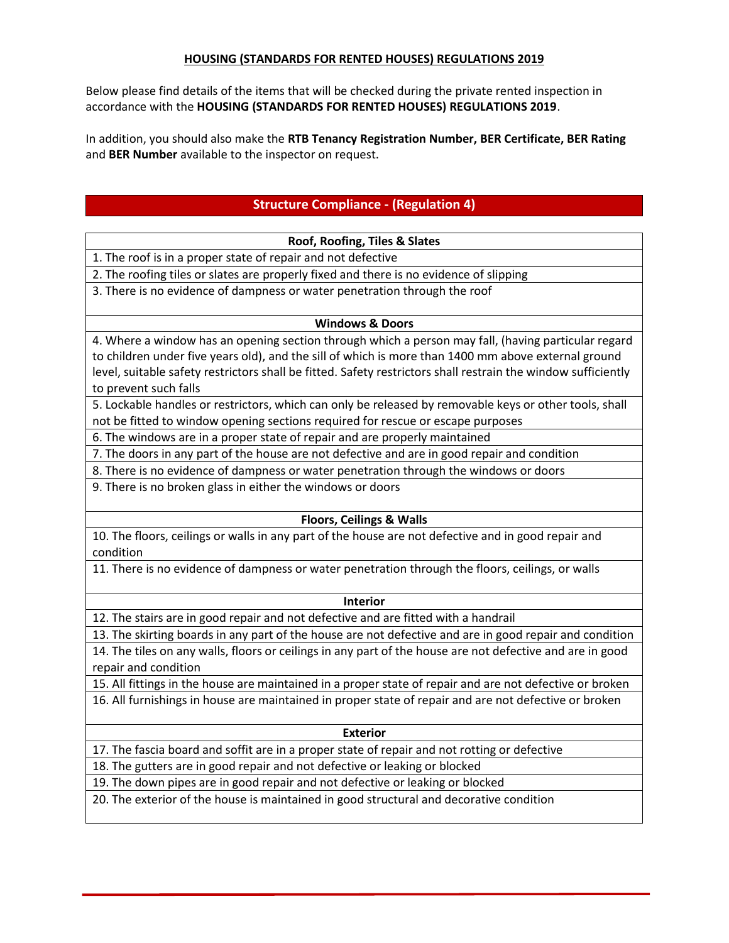### **HOUSING (STANDARDS FOR RENTED HOUSES) REGULATIONS 2019**

Below please find details of the items that will be checked during the private rented inspection in accordance with the **HOUSING (STANDARDS FOR RENTED HOUSES) REGULATIONS 2019**.

In addition, you should also make the **RTB Tenancy Registration Number, BER Certificate, BER Rating** and **BER Number** available to the inspector on request.

# **Structure Compliance - (Regulation 4)**

#### **Roof, Roofing, Tiles & Slates**

1. The roof is in a proper state of repair and not defective

2. The roofing tiles or slates are properly fixed and there is no evidence of slipping

3. There is no evidence of dampness or water penetration through the roof

### **Windows & Doors**

4. Where a window has an opening section through which a person may fall, (having particular regard to children under five years old), and the sill of which is more than 1400 mm above external ground level, suitable safety restrictors shall be fitted. Safety restrictors shall restrain the window sufficiently to prevent such falls

5. Lockable handles or restrictors, which can only be released by removable keys or other tools, shall not be fitted to window opening sections required for rescue or escape purposes

6. The windows are in a proper state of repair and are properly maintained

7. The doors in any part of the house are not defective and are in good repair and condition

8. There is no evidence of dampness or water penetration through the windows or doors

9. There is no broken glass in either the windows or doors

### **Floors, Ceilings & Walls**

10. The floors, ceilings or walls in any part of the house are not defective and in good repair and condition

11. There is no evidence of dampness or water penetration through the floors, ceilings, or walls

#### **Interior**

12. The stairs are in good repair and not defective and are fitted with a handrail

13. The skirting boards in any part of the house are not defective and are in good repair and condition 14. The tiles on any walls, floors or ceilings in any part of the house are not defective and are in good

repair and condition

15. All fittings in the house are maintained in a proper state of repair and are not defective or broken

16. All furnishings in house are maintained in proper state of repair and are not defective or broken

#### **Exterior**

17. The fascia board and soffit are in a proper state of repair and not rotting or defective

18. The gutters are in good repair and not defective or leaking or blocked

19. The down pipes are in good repair and not defective or leaking or blocked

20. The exterior of the house is maintained in good structural and decorative condition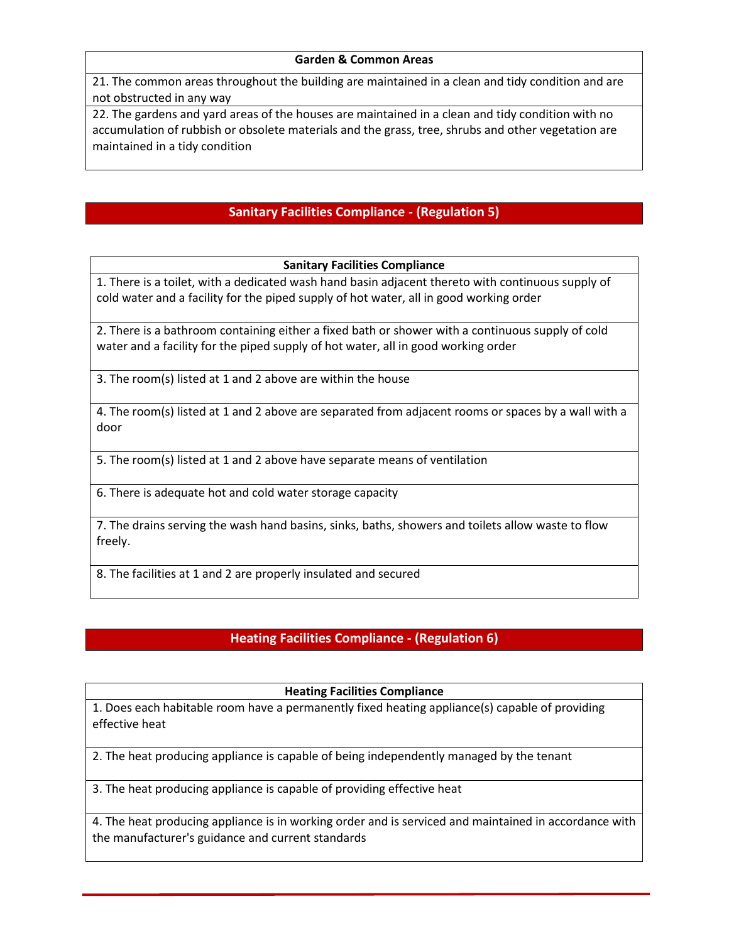### **Garden & Common Areas**

21. The common areas throughout the building are maintained in a clean and tidy condition and are not obstructed in any way

22. The gardens and yard areas of the houses are maintained in a clean and tidy condition with no accumulation of rubbish or obsolete materials and the grass, tree, shrubs and other vegetation are maintained in a tidy condition

# **Sanitary Facilities Compliance - (Regulation 5)**

**Sanitary Facilities Compliance**

1. There is a toilet, with a dedicated wash hand basin adjacent thereto with continuous supply of cold water and a facility for the piped supply of hot water, all in good working order

2. There is a bathroom containing either a fixed bath or shower with a continuous supply of cold water and a facility for the piped supply of hot water, all in good working order

3. The room(s) listed at 1 and 2 above are within the house

4. The room(s) listed at 1 and 2 above are separated from adjacent rooms or spaces by a wall with a door

5. The room(s) listed at 1 and 2 above have separate means of ventilation

6. There is adequate hot and cold water storage capacity

7. The drains serving the wash hand basins, sinks, baths, showers and toilets allow waste to flow freely.

8. The facilities at 1 and 2 are properly insulated and secured

# **Heating Facilities Compliance - (Regulation 6)**

### **Heating Facilities Compliance**

1. Does each habitable room have a permanently fixed heating appliance(s) capable of providing effective heat

2. The heat producing appliance is capable of being independently managed by the tenant

3. The heat producing appliance is capable of providing effective heat

4. The heat producing appliance is in working order and is serviced and maintained in accordance with the manufacturer's guidance and current standards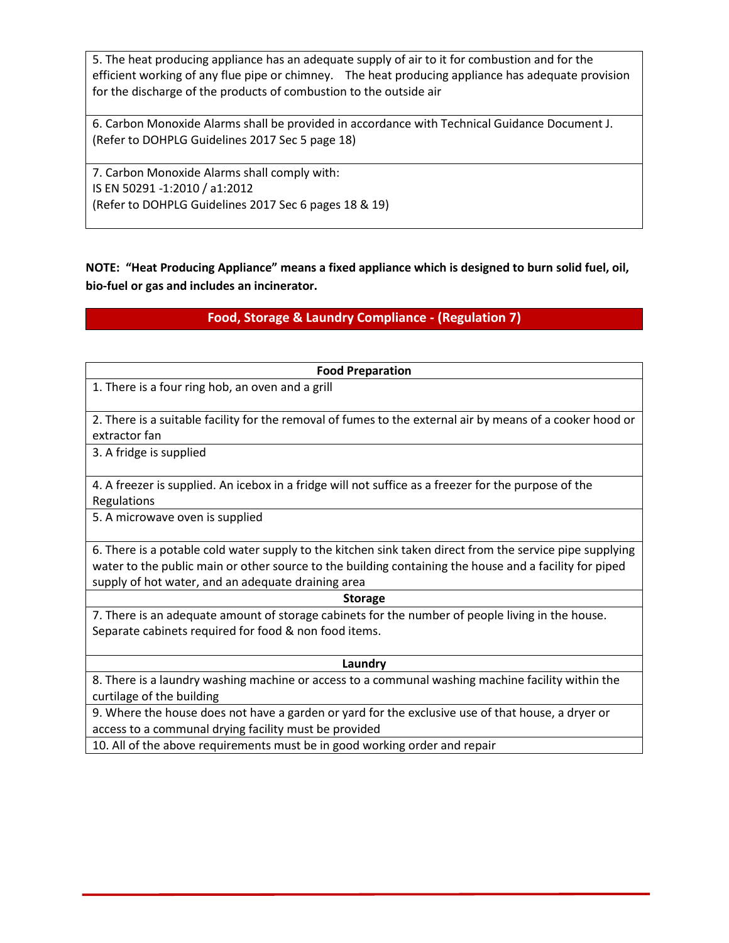5. The heat producing appliance has an adequate supply of air to it for combustion and for the efficient working of any flue pipe or chimney. The heat producing appliance has adequate provision for the discharge of the products of combustion to the outside air

6. Carbon Monoxide Alarms shall be provided in accordance with Technical Guidance Document J. (Refer to DOHPLG Guidelines 2017 Sec 5 page 18)

7. Carbon Monoxide Alarms shall comply with: IS EN 50291 -1:2010 / a1:2012 (Refer to DOHPLG Guidelines 2017 Sec 6 pages 18 & 19)

**NOTE: "Heat Producing Appliance" means a fixed appliance which is designed to burn solid fuel, oil, bio-fuel or gas and includes an incinerator.**

# **Food, Storage & Laundry Compliance - (Regulation 7)**

| <b>Food Preparation</b>                                                                                   |
|-----------------------------------------------------------------------------------------------------------|
| 1. There is a four ring hob, an oven and a grill                                                          |
|                                                                                                           |
| 2. There is a suitable facility for the removal of fumes to the external air by means of a cooker hood or |
|                                                                                                           |
| extractor fan                                                                                             |
| 3. A fridge is supplied                                                                                   |
|                                                                                                           |
| 4. A freezer is supplied. An icebox in a fridge will not suffice as a freezer for the purpose of the      |
| Regulations                                                                                               |
| 5. A microwave oven is supplied                                                                           |
|                                                                                                           |
| 6. There is a potable cold water supply to the kitchen sink taken direct from the service pipe supplying  |
|                                                                                                           |
| water to the public main or other source to the building containing the house and a facility for piped    |
| supply of hot water, and an adequate draining area                                                        |
| <b>Storage</b>                                                                                            |
| 7. There is an adequate amount of storage cabinets for the number of people living in the house.          |
| Separate cabinets required for food & non food items.                                                     |
|                                                                                                           |
| Laundry                                                                                                   |

8. There is a laundry washing machine or access to a communal washing machine facility within the curtilage of the building

9. Where the house does not have a garden or yard for the exclusive use of that house, a dryer or access to a communal drying facility must be provided

10. All of the above requirements must be in good working order and repair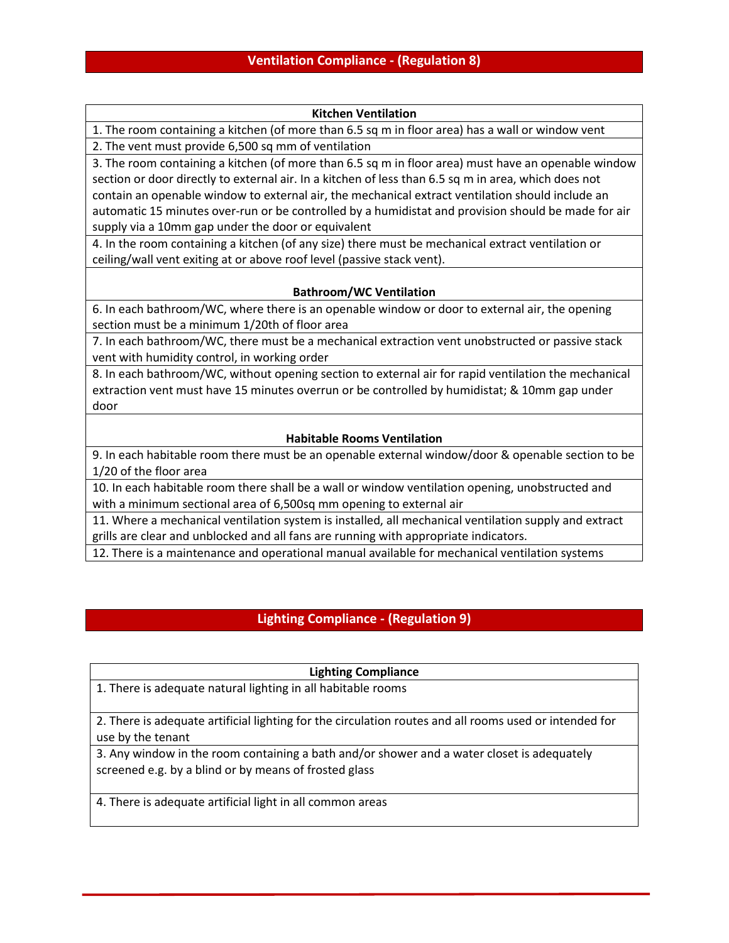#### **Kitchen Ventilation**

1. The room containing a kitchen (of more than 6.5 sq m in floor area) has a wall or window vent 2. The vent must provide 6,500 sq mm of ventilation

3. The room containing a kitchen (of more than 6.5 sq m in floor area) must have an openable window section or door directly to external air. In a kitchen of less than 6.5 sq m in area, which does not contain an openable window to external air, the mechanical extract ventilation should include an automatic 15 minutes over-run or be controlled by a humidistat and provision should be made for air supply via a 10mm gap under the door or equivalent

4. In the room containing a kitchen (of any size) there must be mechanical extract ventilation or ceiling/wall vent exiting at or above roof level (passive stack vent).

### **Bathroom/WC Ventilation**

6. In each bathroom/WC, where there is an openable window or door to external air, the opening section must be a minimum 1/20th of floor area

7. In each bathroom/WC, there must be a mechanical extraction vent unobstructed or passive stack vent with humidity control, in working order

8. In each bathroom/WC, without opening section to external air for rapid ventilation the mechanical extraction vent must have 15 minutes overrun or be controlled by humidistat; & 10mm gap under door

### **Habitable Rooms Ventilation**

9. In each habitable room there must be an openable external window/door & openable section to be 1/20 of the floor area

10. In each habitable room there shall be a wall or window ventilation opening, unobstructed and with a minimum sectional area of 6,500sq mm opening to external air

11. Where a mechanical ventilation system is installed, all mechanical ventilation supply and extract grills are clear and unblocked and all fans are running with appropriate indicators.

12. There is a maintenance and operational manual available for mechanical ventilation systems

# **Lighting Compliance - (Regulation 9)**

### **Lighting Compliance**

1. There is adequate natural lighting in all habitable rooms

2. There is adequate artificial lighting for the circulation routes and all rooms used or intended for use by the tenant

3. Any window in the room containing a bath and/or shower and a water closet is adequately screened e.g. by a blind or by means of frosted glass

4. There is adequate artificial light in all common areas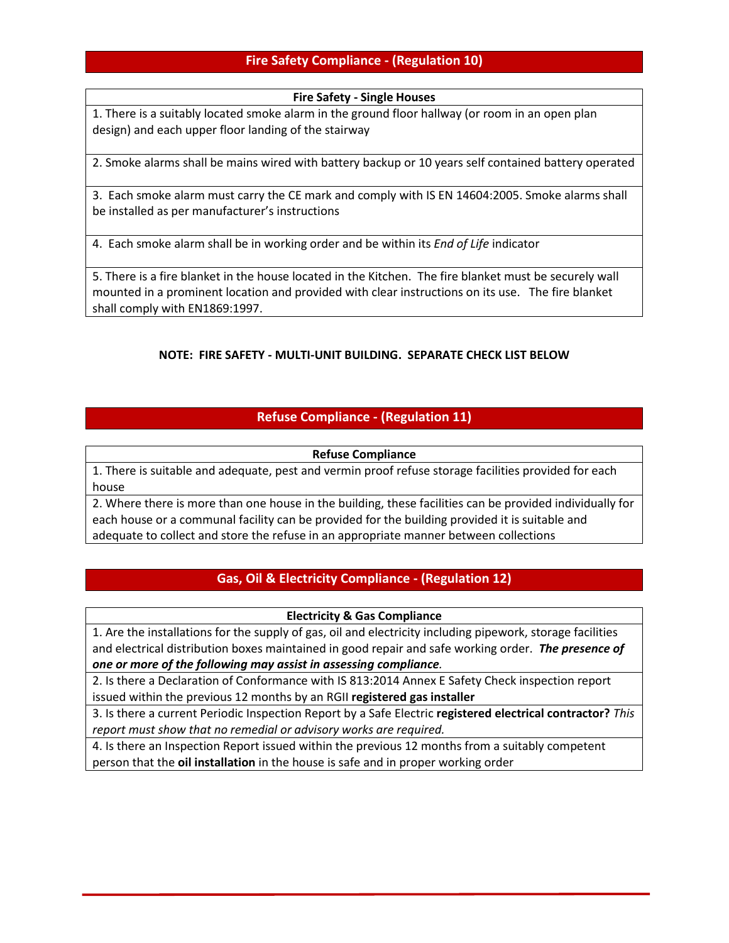# **Fire Safety Compliance - (Regulation 10)**

### **Fire Safety - Single Houses**

1. There is a suitably located smoke alarm in the ground floor hallway (or room in an open plan design) and each upper floor landing of the stairway

2. Smoke alarms shall be mains wired with battery backup or 10 years self contained battery operated

3. Each smoke alarm must carry the CE mark and comply with IS EN 14604:2005. Smoke alarms shall be installed as per manufacturer's instructions

4. Each smoke alarm shall be in working order and be within its *End of Life* indicator

5. There is a fire blanket in the house located in the Kitchen. The fire blanket must be securely wall mounted in a prominent location and provided with clear instructions on its use. The fire blanket shall comply with EN1869:1997.

### **NOTE: FIRE SAFETY - MULTI-UNIT BUILDING. SEPARATE CHECK LIST BELOW**

# **Refuse Compliance - (Regulation 11)**

### **Refuse Compliance**

1. There is suitable and adequate, pest and vermin proof refuse storage facilities provided for each house

2. Where there is more than one house in the building, these facilities can be provided individually for each house or a communal facility can be provided for the building provided it is suitable and adequate to collect and store the refuse in an appropriate manner between collections

# **Gas, Oil & Electricity Compliance - (Regulation 12)**

### **Electricity & Gas Compliance**

1. Are the installations for the supply of gas, oil and electricity including pipework, storage facilities and electrical distribution boxes maintained in good repair and safe working order. *The presence of one or more of the following may assist in assessing compliance.* 

2. Is there a Declaration of Conformance with IS 813:2014 Annex E Safety Check inspection report issued within the previous 12 months by an RGII **registered gas installer** 

3. Is there a current Periodic Inspection Report by a Safe Electric **registered electrical contractor?** *This report must show that no remedial or advisory works are required.* 

4. Is there an Inspection Report issued within the previous 12 months from a suitably competent person that the **oil installation** in the house is safe and in proper working order